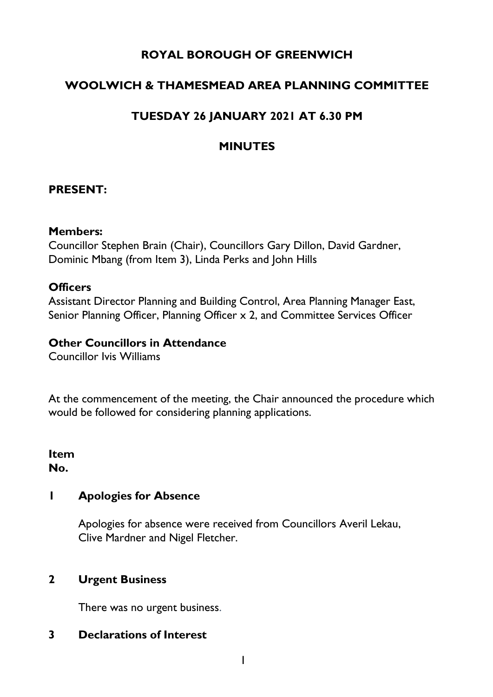## **ROYAL BOROUGH OF GREENWICH**

# **WOOLWICH & THAMESMEAD AREA PLANNING COMMITTEE**

# **TUESDAY 26 JANUARY 2021 AT 6.30 PM**

## **MINUTES**

#### **PRESENT:**

#### **Members:**

Councillor Stephen Brain (Chair), Councillors Gary Dillon, David Gardner, Dominic Mbang (from Item 3), Linda Perks and John Hills

#### **Officers**

Assistant Director Planning and Building Control, Area Planning Manager East, Senior Planning Officer, Planning Officer x 2, and Committee Services Officer

#### **Other Councillors in Attendance**

Councillor Ivis Williams

At the commencement of the meeting, the Chair announced the procedure which would be followed for considering planning applications.

**Item No.** 

#### **1 Apologies for Absence**

Apologies for absence were received from Councillors Averil Lekau, Clive Mardner and Nigel Fletcher.

### **2 Urgent Business**

There was no urgent business.

### **3 Declarations of Interest**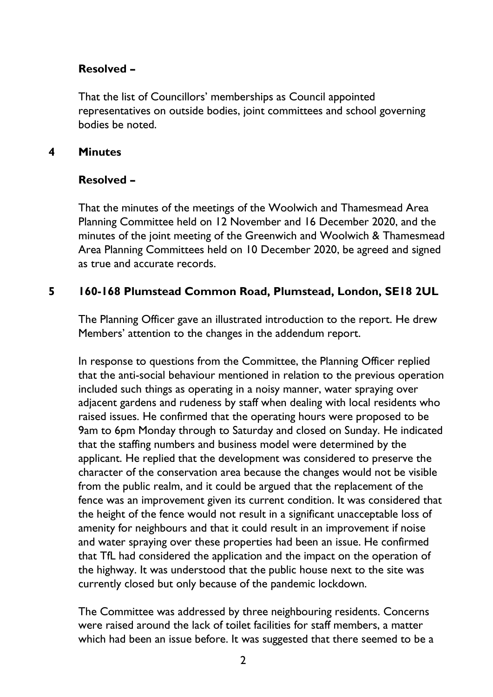## **Resolved –**

That the list of Councillors' memberships as Council appointed representatives on outside bodies, joint committees and school governing bodies be noted.

### **4 Minutes**

## **Resolved –**

That the minutes of the meetings of the Woolwich and Thamesmead Area Planning Committee held on 12 November and 16 December 2020, and the minutes of the joint meeting of the Greenwich and Woolwich & Thamesmead Area Planning Committees held on 10 December 2020, be agreed and signed as true and accurate records.

## **5 160-168 Plumstead Common Road, Plumstead, London, SE18 2UL**

The Planning Officer gave an illustrated introduction to the report. He drew Members' attention to the changes in the addendum report.

In response to questions from the Committee, the Planning Officer replied that the anti-social behaviour mentioned in relation to the previous operation included such things as operating in a noisy manner, water spraying over adjacent gardens and rudeness by staff when dealing with local residents who raised issues. He confirmed that the operating hours were proposed to be 9am to 6pm Monday through to Saturday and closed on Sunday. He indicated that the staffing numbers and business model were determined by the applicant. He replied that the development was considered to preserve the character of the conservation area because the changes would not be visible from the public realm, and it could be argued that the replacement of the fence was an improvement given its current condition. It was considered that the height of the fence would not result in a significant unacceptable loss of amenity for neighbours and that it could result in an improvement if noise and water spraying over these properties had been an issue. He confirmed that TfL had considered the application and the impact on the operation of the highway. It was understood that the public house next to the site was currently closed but only because of the pandemic lockdown.

The Committee was addressed by three neighbouring residents. Concerns were raised around the lack of toilet facilities for staff members, a matter which had been an issue before. It was suggested that there seemed to be a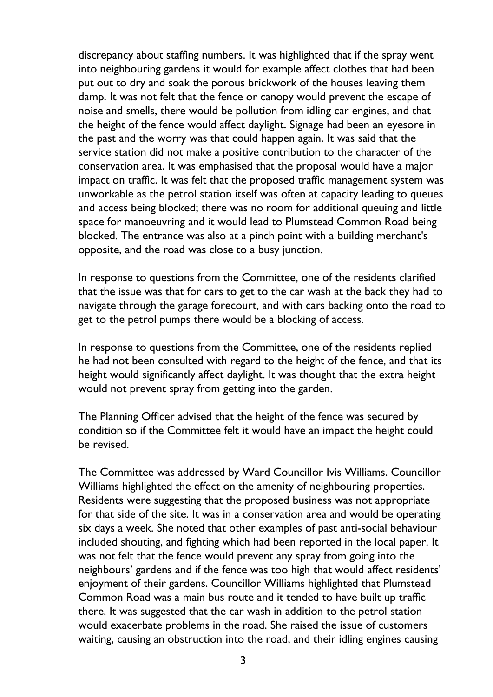discrepancy about staffing numbers. It was highlighted that if the spray went into neighbouring gardens it would for example affect clothes that had been put out to dry and soak the porous brickwork of the houses leaving them damp. It was not felt that the fence or canopy would prevent the escape of noise and smells, there would be pollution from idling car engines, and that the height of the fence would affect daylight. Signage had been an eyesore in the past and the worry was that could happen again. It was said that the service station did not make a positive contribution to the character of the conservation area. It was emphasised that the proposal would have a major impact on traffic. It was felt that the proposed traffic management system was unworkable as the petrol station itself was often at capacity leading to queues and access being blocked; there was no room for additional queuing and little space for manoeuvring and it would lead to Plumstead Common Road being blocked. The entrance was also at a pinch point with a building merchant's opposite, and the road was close to a busy junction.

In response to questions from the Committee, one of the residents clarified that the issue was that for cars to get to the car wash at the back they had to navigate through the garage forecourt, and with cars backing onto the road to get to the petrol pumps there would be a blocking of access.

In response to questions from the Committee, one of the residents replied he had not been consulted with regard to the height of the fence, and that its height would significantly affect daylight. It was thought that the extra height would not prevent spray from getting into the garden.

The Planning Officer advised that the height of the fence was secured by condition so if the Committee felt it would have an impact the height could be revised.

The Committee was addressed by Ward Councillor Ivis Williams. Councillor Williams highlighted the effect on the amenity of neighbouring properties. Residents were suggesting that the proposed business was not appropriate for that side of the site. It was in a conservation area and would be operating six days a week. She noted that other examples of past anti-social behaviour included shouting, and fighting which had been reported in the local paper. It was not felt that the fence would prevent any spray from going into the neighbours' gardens and if the fence was too high that would affect residents' enjoyment of their gardens. Councillor Williams highlighted that Plumstead Common Road was a main bus route and it tended to have built up traffic there. It was suggested that the car wash in addition to the petrol station would exacerbate problems in the road. She raised the issue of customers waiting, causing an obstruction into the road, and their idling engines causing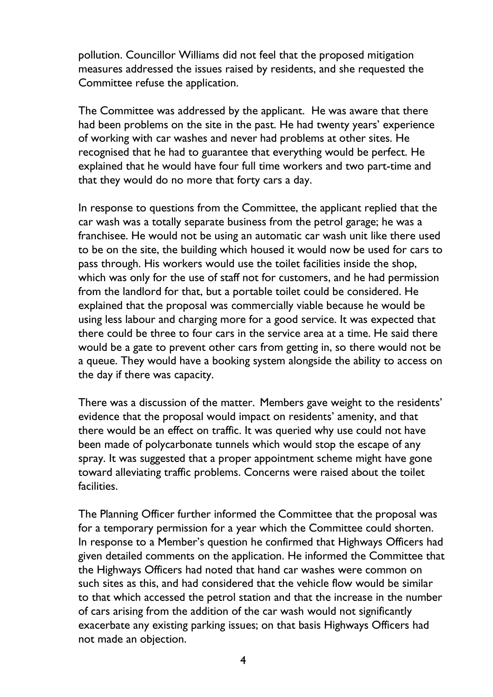pollution. Councillor Williams did not feel that the proposed mitigation measures addressed the issues raised by residents, and she requested the Committee refuse the application.

The Committee was addressed by the applicant. He was aware that there had been problems on the site in the past. He had twenty years' experience of working with car washes and never had problems at other sites. He recognised that he had to guarantee that everything would be perfect. He explained that he would have four full time workers and two part-time and that they would do no more that forty cars a day.

In response to questions from the Committee, the applicant replied that the car wash was a totally separate business from the petrol garage; he was a franchisee. He would not be using an automatic car wash unit like there used to be on the site, the building which housed it would now be used for cars to pass through. His workers would use the toilet facilities inside the shop, which was only for the use of staff not for customers, and he had permission from the landlord for that, but a portable toilet could be considered. He explained that the proposal was commercially viable because he would be using less labour and charging more for a good service. It was expected that there could be three to four cars in the service area at a time. He said there would be a gate to prevent other cars from getting in, so there would not be a queue. They would have a booking system alongside the ability to access on the day if there was capacity.

There was a discussion of the matter. Members gave weight to the residents' evidence that the proposal would impact on residents' amenity, and that there would be an effect on traffic. It was queried why use could not have been made of polycarbonate tunnels which would stop the escape of any spray. It was suggested that a proper appointment scheme might have gone toward alleviating traffic problems. Concerns were raised about the toilet facilities.

The Planning Officer further informed the Committee that the proposal was for a temporary permission for a year which the Committee could shorten. In response to a Member's question he confirmed that Highways Officers had given detailed comments on the application. He informed the Committee that the Highways Officers had noted that hand car washes were common on such sites as this, and had considered that the vehicle flow would be similar to that which accessed the petrol station and that the increase in the number of cars arising from the addition of the car wash would not significantly exacerbate any existing parking issues; on that basis Highways Officers had not made an objection.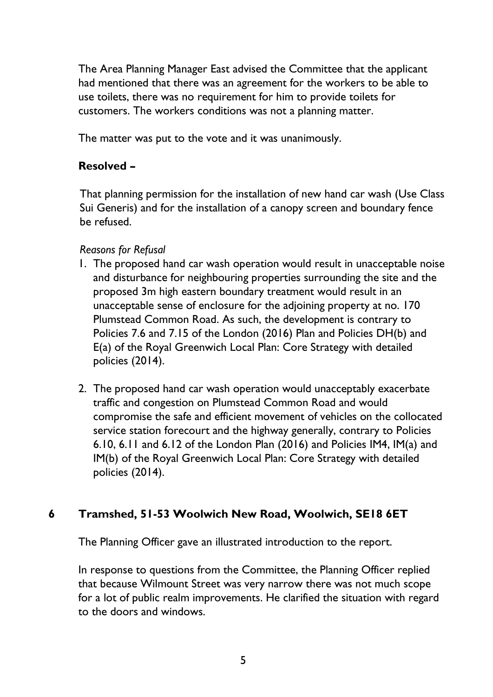The Area Planning Manager East advised the Committee that the applicant had mentioned that there was an agreement for the workers to be able to use toilets, there was no requirement for him to provide toilets for customers. The workers conditions was not a planning matter.

The matter was put to the vote and it was unanimously.

# **Resolved –**

That planning permission for the installation of new hand car wash (Use Class Sui Generis) and for the installation of a canopy screen and boundary fence be refused.

## *Reasons for Refusal*

- 1. The proposed hand car wash operation would result in unacceptable noise and disturbance for neighbouring properties surrounding the site and the proposed 3m high eastern boundary treatment would result in an unacceptable sense of enclosure for the adjoining property at no. 170 Plumstead Common Road. As such, the development is contrary to Policies 7.6 and 7.15 of the London (2016) Plan and Policies DH(b) and E(a) of the Royal Greenwich Local Plan: Core Strategy with detailed policies (2014).
- 2. The proposed hand car wash operation would unacceptably exacerbate traffic and congestion on Plumstead Common Road and would compromise the safe and efficient movement of vehicles on the collocated service station forecourt and the highway generally, contrary to Policies 6.10, 6.11 and 6.12 of the London Plan (2016) and Policies IM4, IM(a) and IM(b) of the Royal Greenwich Local Plan: Core Strategy with detailed policies (2014).

# **6 Tramshed, 51-53 Woolwich New Road, Woolwich, SE18 6ET**

The Planning Officer gave an illustrated introduction to the report.

In response to questions from the Committee, the Planning Officer replied that because Wilmount Street was very narrow there was not much scope for a lot of public realm improvements. He clarified the situation with regard to the doors and windows.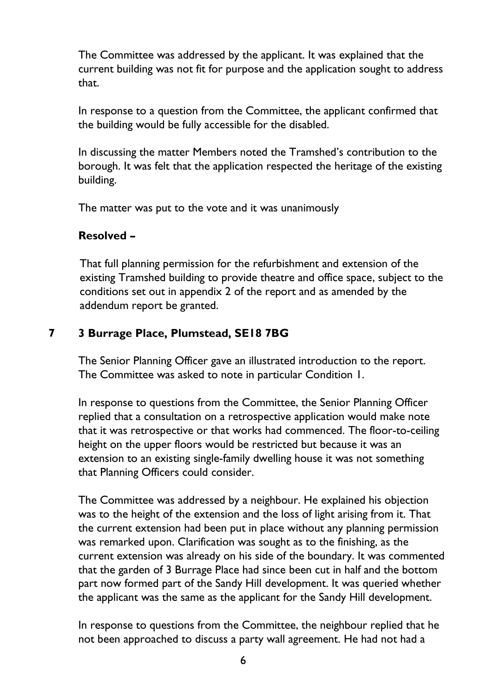The Committee was addressed by the applicant. It was explained that the current building was not fit for purpose and the application sought to address that.

In response to a question from the Committee, the applicant confirmed that the building would be fully accessible for the disabled.

In discussing the matter Members noted the Tramshed's contribution to the borough. It was felt that the application respected the heritage of the existing building.

The matter was put to the vote and it was unanimously

## **Resolved –**

That full planning permission for the refurbishment and extension of the existing Tramshed building to provide theatre and office space, subject to the conditions set out in appendix 2 of the report and as amended by the addendum report be granted.

## **7 3 Burrage Place, Plumstead, SE18 7BG**

The Senior Planning Officer gave an illustrated introduction to the report. The Committee was asked to note in particular Condition 1.

In response to questions from the Committee, the Senior Planning Officer replied that a consultation on a retrospective application would make note that it was retrospective or that works had commenced. The floor-to-ceiling height on the upper floors would be restricted but because it was an extension to an existing single-family dwelling house it was not something that Planning Officers could consider.

The Committee was addressed by a neighbour. He explained his objection was to the height of the extension and the loss of light arising from it. That the current extension had been put in place without any planning permission was remarked upon. Clarification was sought as to the finishing, as the current extension was already on his side of the boundary. It was commented that the garden of 3 Burrage Place had since been cut in half and the bottom part now formed part of the Sandy Hill development. It was queried whether the applicant was the same as the applicant for the Sandy Hill development.

In response to questions from the Committee, the neighbour replied that he not been approached to discuss a party wall agreement. He had not had a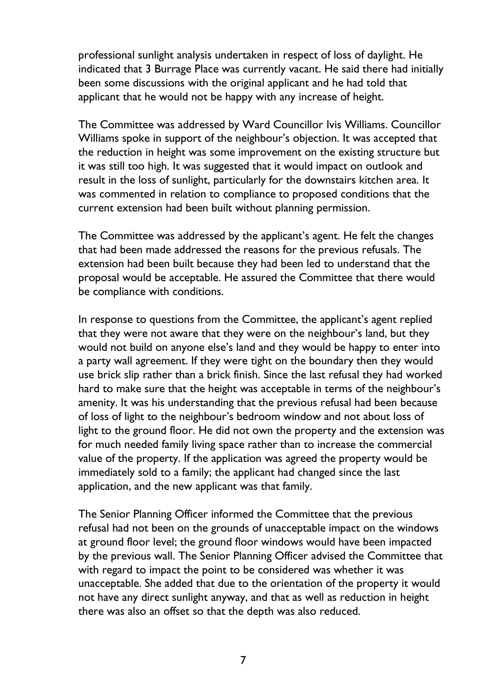professional sunlight analysis undertaken in respect of loss of daylight. He indicated that 3 Burrage Place was currently vacant. He said there had initially been some discussions with the original applicant and he had told that applicant that he would not be happy with any increase of height.

The Committee was addressed by Ward Councillor Ivis Williams. Councillor Williams spoke in support of the neighbour's objection. It was accepted that the reduction in height was some improvement on the existing structure but it was still too high. It was suggested that it would impact on outlook and result in the loss of sunlight, particularly for the downstairs kitchen area. It was commented in relation to compliance to proposed conditions that the current extension had been built without planning permission.

The Committee was addressed by the applicant's agent. He felt the changes that had been made addressed the reasons for the previous refusals. The extension had been built because they had been led to understand that the proposal would be acceptable. He assured the Committee that there would be compliance with conditions.

In response to questions from the Committee, the applicant's agent replied that they were not aware that they were on the neighbour's land, but they would not build on anyone else's land and they would be happy to enter into a party wall agreement. If they were tight on the boundary then they would use brick slip rather than a brick finish. Since the last refusal they had worked hard to make sure that the height was acceptable in terms of the neighbour's amenity. It was his understanding that the previous refusal had been because of loss of light to the neighbour's bedroom window and not about loss of light to the ground floor. He did not own the property and the extension was for much needed family living space rather than to increase the commercial value of the property. If the application was agreed the property would be immediately sold to a family; the applicant had changed since the last application, and the new applicant was that family.

The Senior Planning Officer informed the Committee that the previous refusal had not been on the grounds of unacceptable impact on the windows at ground floor level; the ground floor windows would have been impacted by the previous wall. The Senior Planning Officer advised the Committee that with regard to impact the point to be considered was whether it was unacceptable. She added that due to the orientation of the property it would not have any direct sunlight anyway, and that as well as reduction in height there was also an offset so that the depth was also reduced.